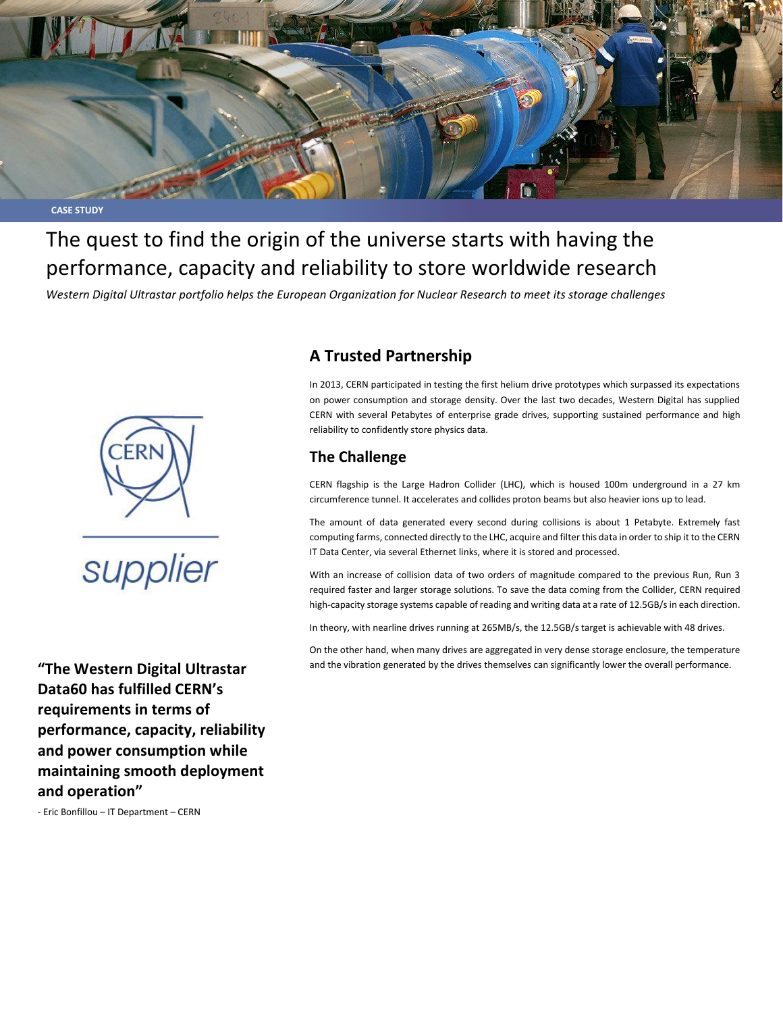

# The quest to find the origin of the universe starts with having the performance, capacity and reliability to store worldwide research

*Western Digital Ultrastar portfolio helps the European Organization for Nuclear Research to meet its storage challenges*



**"The Western Digital Ultrastar Data60 has fulfilled CERN's requirements in terms of performance, capacity, reliability and power consumption while maintaining smooth deployment and operation"**

- Eric Bonfillou – IT Department – CERN

# **A Trusted Partnership**

In 2013, CERN participated in testing the first helium drive prototypes which surpassed its expectations on power consumption and storage density. Over the last two decades, Western Digital has supplied CERN with several Petabytes of enterprise grade drives, supporting sustained performance and high reliability to confidently store physics data.

## **The Challenge**

CERN flagship is the Large Hadron Collider (LHC), which is housed 100m underground in a 27 km circumference tunnel. It accelerates and collides proton beams but also heavier ions up to lead.

The amount of data generated every second during collisions is about 1 Petabyte. Extremely fast computing farms, connected directly to the LHC, acquire and filter this data in order to ship it to the CERN IT Data Center, via several Ethernet links, where it is stored and processed.

With an increase of collision data of two orders of magnitude compared to the previous Run, Run 3 required faster and larger storage solutions. To save the data coming from the Collider, CERN required high-capacity storage systems capable of reading and writing data at a rate of 12.5GB/s in each direction.

In theory, with nearline drives running at 265MB/s, the 12.5GB/s target is achievable with 48 drives.

On the other hand, when many drives are aggregated in very dense storage enclosure, the temperature and the vibration generated by the drives themselves can significantly lower the overall performance.